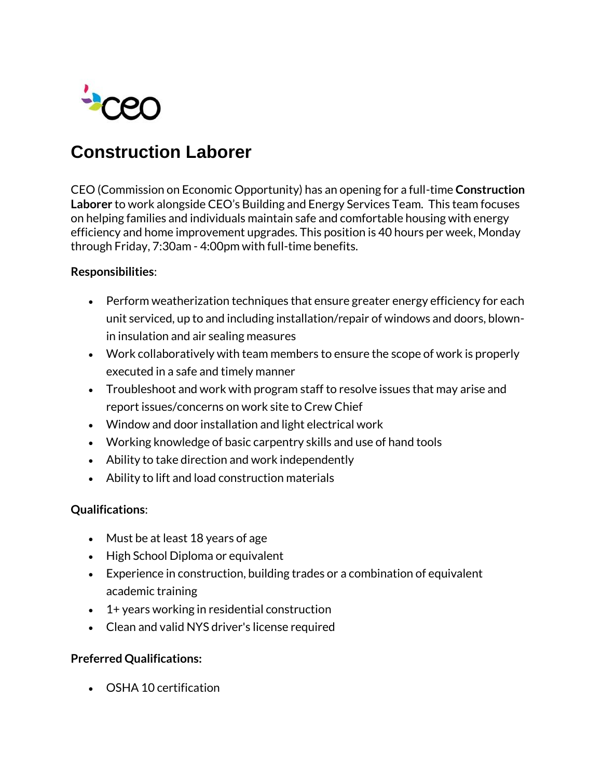

# **Construction Laborer**

CEO (Commission on Economic Opportunity) has an opening for a full-time **Construction Laborer** to work alongside CEO's Building and Energy Services Team. This team focuses on helping families and individuals maintain safe and comfortable housing with energy efficiency and home improvement upgrades. This position is 40 hours per week, Monday through Friday, 7:30am - 4:00pm with full-time benefits.

### **Responsibilities**:

- Perform weatherization techniques that ensure greater energy efficiency for each unit serviced, up to and including installation/repair of windows and doors, blownin insulation and air sealing measures
- Work collaboratively with team members to ensure the scope of work is properly executed in a safe and timely manner
- Troubleshoot and work with program staff to resolve issues that may arise and report issues/concerns on work site to Crew Chief
- Window and door installation and light electrical work
- Working knowledge of basic carpentry skills and use of hand tools
- Ability to take direction and work independently
- Ability to lift and load construction materials

### **Qualifications**:

- Must be at least 18 years of age
- High School Diploma or equivalent
- Experience in construction, building trades or a combination of equivalent academic training
- 1+ years working in residential construction
- Clean and valid NYS driver's license required

## **Preferred Qualifications:**

OSHA 10 certification